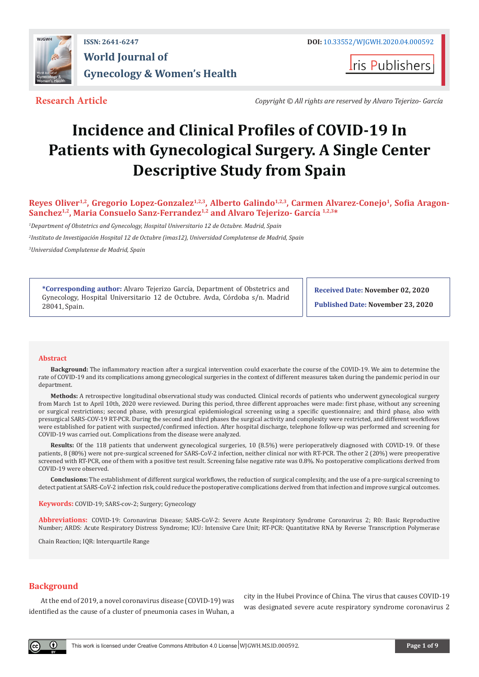

**I**ris Publishers

**Research Article** *Copyright © All rights are reserved by Alvaro Tejerizo- García*

# **Incidence and Clinical Profiles of COVID-19 In Patients with Gynecological Surgery. A Single Center Descriptive Study from Spain**

**Reyes Oliver1,2, Gregorio Lopez-Gonzalez1,2,3, Alberto Galindo1,2,3, Carmen Alvarez-Conejo1, Sofia Aragon-Sanchez1,2, Maria Consuelo Sanz-Ferrandez1,2 and Alvaro Tejerizo- García 1,2,3\***

*1 Department of Obstetrics and Gynecology, Hospital Universitario 12 de Octubre. Madrid, Spain*

*2 Instituto de Investigación Hospital 12 de Octubre (imas12), Universidad Complutense de Madrid, Spain*

*3 Universidad Complutense de Madrid, Spain*

**\*Corresponding author:** Alvaro Tejerizo García, Department of Obstetrics and Gynecology, Hospital Universitario 12 de Octubre. Avda, Córdoba s/n. Madrid 28041, Spain.

**Received Date: November 02, 2020**

**Published Date: November 23, 2020**

#### **Abstract**

**Background:** The inflammatory reaction after a surgical intervention could exacerbate the course of the COVID-19. We aim to determine the rate of COVID-19 and its complications among gynecological surgeries in the context of different measures taken during the pandemic period in our department.

**Methods:** A retrospective longitudinal observational study was conducted. Clinical records of patients who underwent gynecological surgery from March 1st to April 10th, 2020 were reviewed. During this period, three different approaches were made: first phase, without any screening or surgical restrictions; second phase, with presurgical epidemiological screening using a specific questionnaire; and third phase, also with presurgical SARS-COV-19 RT-PCR. During the second and third phases the surgical activity and complexity were restricted, and different workflows were established for patient with suspected/confirmed infection. After hospital discharge, telephone follow-up was performed and screening for COVID-19 was carried out. Complications from the disease were analyzed.

**Results:** Of the 118 patients that underwent gynecological surgeries, 10 (8.5%) were perioperatively diagnosed with COVID-19. Of these patients, 8 (80%) were not pre-surgical screened for SARS-CoV-2 infection, neither clinical nor with RT-PCR. The other 2 (20%) were preoperative screened with RT-PCR, one of them with a positive test result. Screening false negative rate was 0.8%. No postoperative complications derived from COVID-19 were observed.

**Conclusions:** The establishment of different surgical workflows, the reduction of surgical complexity, and the use of a pre-surgical screening to detect patient at SARS-CoV-2 infection risk, could reduce the postoperative complications derived from that infection and improve surgical outcomes.

**Keywords:** COVID-19; SARS-cov-2; Surgery; Gynecology

**Abbreviations:** COVID-19: Coronavirus Disease; SARS-CoV-2: Severe Acute Respiratory Syndrome Coronavirus 2; R0: Basic Reproductive Number; ARDS: Acute Respiratory Distress Syndrome; ICU: Intensive Care Unit; RT-PCR: Quantitative RNA by Reverse Transcription Polymerase

Chain Reaction; IQR: Interquartile Range

# **Background**

 $\left( \cdot \right)$ 

At the end of 2019, a novel coronavirus disease (COVID-19) was identified as the cause of a cluster of pneumonia cases in Wuhan, a

city in the Hubei Province of China. The virus that causes COVID-19 was designated severe acute respiratory syndrome coronavirus 2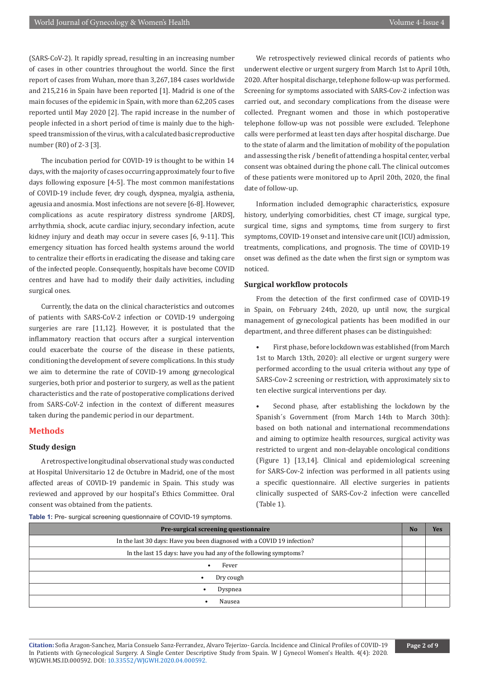(SARS-CoV-2). It rapidly spread, resulting in an increasing number of cases in other countries throughout the world. Since the first report of cases from Wuhan, more than 3,267,184 cases worldwide and 215,216 in Spain have been reported [1]. Madrid is one of the main focuses of the epidemic in Spain, with more than 62,205 cases reported until May 2020 [2]. The rapid increase in the number of people infected in a short period of time is mainly due to the highspeed transmission of the virus, with a calculated basic reproductive number (R0) of 2-3 [3].

The incubation period for COVID-19 is thought to be within 14 days, with the majority of cases occurring approximately four to five days following exposure [4-5]. The most common manifestations of COVID-19 include fever, dry cough, dyspnea, myalgia, asthenia, ageusia and anosmia. Most infections are not severe [6-8]. However, complications as acute respiratory distress syndrome [ARDS], arrhythmia, shock, acute cardiac injury, secondary infection, acute kidney injury and death may occur in severe cases [6, 9-11]. This emergency situation has forced health systems around the world to centralize their efforts in eradicating the disease and taking care of the infected people. Consequently, hospitals have become COVID centres and have had to modify their daily activities, including surgical ones.

Currently, the data on the clinical characteristics and outcomes of patients with SARS-CoV-2 infection or COVID-19 undergoing surgeries are rare [11,12]. However, it is postulated that the inflammatory reaction that occurs after a surgical intervention could exacerbate the course of the disease in these patients, conditioning the development of severe complications. In this study we aim to determine the rate of COVID-19 among gynecological surgeries, both prior and posterior to surgery, as well as the patient characteristics and the rate of postoperative complications derived from SARS-CoV-2 infection in the context of different measures taken during the pandemic period in our department.

#### **Methods**

#### **Study design**

A retrospective longitudinal observational study was conducted at Hospital Universitario 12 de Octubre in Madrid, one of the most affected areas of COVID-19 pandemic in Spain. This study was reviewed and approved by our hospital's Ethics Committee. Oral consent was obtained from the patients.

We retrospectively reviewed clinical records of patients who underwent elective or urgent surgery from March 1st to April 10th, 2020. After hospital discharge, telephone follow-up was performed. Screening for symptoms associated with SARS-Cov-2 infection was carried out, and secondary complications from the disease were collected. Pregnant women and those in which postoperative telephone follow-up was not possible were excluded. Telephone calls were performed at least ten days after hospital discharge. Due to the state of alarm and the limitation of mobility of the population and assessing the risk / benefit of attending a hospital center, verbal consent was obtained during the phone call. The clinical outcomes of these patients were monitored up to April 20th, 2020, the final date of follow-up.

Information included demographic characteristics, exposure history, underlying comorbidities, chest CT image, surgical type, surgical time, signs and symptoms, time from surgery to first symptoms, COVID-19 onset and intensive care unit (ICU) admission, treatments, complications, and prognosis. The time of COVID-19 onset was defined as the date when the first sign or symptom was noticed.

# **Surgical workflow protocols**

From the detection of the first confirmed case of COVID-19 in Spain, on February 24th, 2020, up until now, the surgical management of gynecological patients has been modified in our department, and three different phases can be distinguished:

• First phase, before lockdown was established (from March 1st to March 13th, 2020): all elective or urgent surgery were performed according to the usual criteria without any type of SARS-Cov-2 screening or restriction, with approximately six to ten elective surgical interventions per day.

Second phase, after establishing the lockdown by the Spanish´s Government (from March 14th to March 30th): based on both national and international recommendations and aiming to optimize health resources, surgical activity was restricted to urgent and non-delayable oncological conditions (Figure 1) [13,14]. Clinical and epidemiological screening for SARS-Cov-2 infection was performed in all patients using a specific questionnaire. All elective surgeries in patients clinically suspected of SARS-Cov-2 infection were cancelled (Table 1).

| <b>Table 1:</b> Pre- surgical screening questionnaire of COVID-19 symptoms. |  |
|-----------------------------------------------------------------------------|--|
|                                                                             |  |

| Pre-surgical screening questionnaire                                    |  |  |  |  |  |  |  |
|-------------------------------------------------------------------------|--|--|--|--|--|--|--|
| In the last 30 days: Have you been diagnosed with a COVID 19 infection? |  |  |  |  |  |  |  |
| In the last 15 days: have you had any of the following symptoms?        |  |  |  |  |  |  |  |
| Fever                                                                   |  |  |  |  |  |  |  |
| Dry cough                                                               |  |  |  |  |  |  |  |
| Dyspnea<br>$\bullet$                                                    |  |  |  |  |  |  |  |
| Nausea                                                                  |  |  |  |  |  |  |  |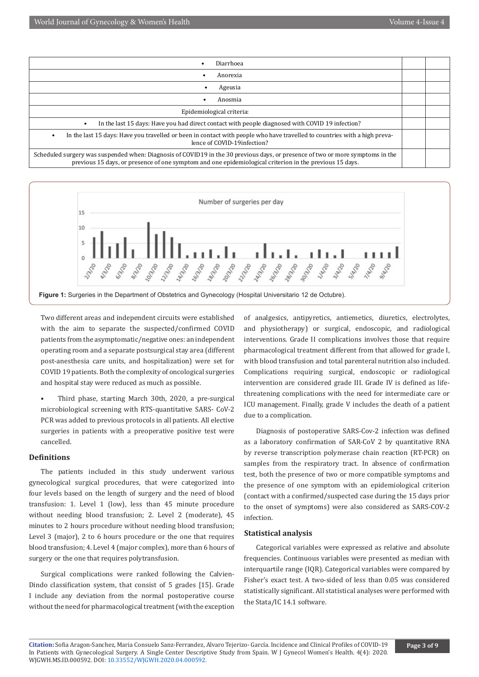



Two different areas and independent circuits were established with the aim to separate the suspected/confirmed COVID patients from the asymptomatic/negative ones: an independent operating room and a separate postsurgical stay area (different post-anesthesia care units, and hospitalization) were set for COVID 19 patients. Both the complexity of oncological surgeries and hospital stay were reduced as much as possible.

• Third phase, starting March 30th, 2020, a pre-surgical microbiological screening with RTS-quantitative SARS- CoV-2 PCR was added to previous protocols in all patients. All elective surgeries in patients with a preoperative positive test were cancelled.

# **Definitions**

The patients included in this study underwent various gynecological surgical procedures, that were categorized into four levels based on the length of surgery and the need of blood transfusion: 1. Level 1 (low), less than 45 minute procedure without needing blood transfusion; 2. Level 2 (moderate), 45 minutes to 2 hours procedure without needing blood transfusion; Level 3 (major), 2 to 6 hours procedure or the one that requires blood transfusion; 4. Level 4 (major complex), more than 6 hours of surgery or the one that requires polytransfusion.

Surgical complications were ranked following the Calvien-Dindo classification system, that consist of 5 grades [15]. Grade I include any deviation from the normal postoperative course without the need for pharmacological treatment (with the exception

of analgesics, antipyretics, antiemetics, diuretics, electrolytes, and physiotherapy) or surgical, endoscopic, and radiological interventions. Grade II complications involves those that require pharmacological treatment different from that allowed for grade I, with blood transfusion and total parenteral nutrition also included. Complications requiring surgical, endoscopic or radiological intervention are considered grade III. Grade IV is defined as lifethreatening complications with the need for intermediate care or ICU management. Finally, grade V includes the death of a patient due to a complication.

Diagnosis of postoperative SARS-Cov-2 infection was defined as a laboratory confirmation of SAR-CoV 2 by quantitative RNA by reverse transcription polymerase chain reaction (RT-PCR) on samples from the respiratory tract. In absence of confirmation test, both the presence of two or more compatible symptoms and the presence of one symptom with an epidemiological criterion (contact with a confirmed/suspected case during the 15 days prior to the onset of symptoms) were also considered as SARS-COV-2 infection.

#### **Statistical analysis**

Categorical variables were expressed as relative and absolute frequencies. Continuous variables were presented as median with interquartile range (IQR). Categorical variables were compared by Fisher's exact test. A two-sided of less than 0.05 was considered statistically significant. All statistical analyses were performed with the Stata/IC 14.1 software.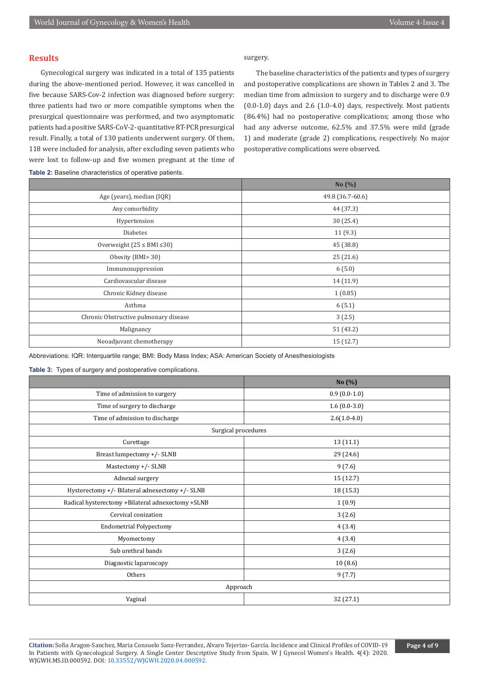# **Results**

Gynecological surgery was indicated in a total of 135 patients during the above-mentioned period. However, it was cancelled in five because SARS-Cov-2 infection was diagnosed before surgery: three patients had two or more compatible symptoms when the presurgical questionnaire was performed, and two asymptomatic patients had a positive SARS-CoV-2- quantitative RT-PCR presurgical result. Finally, a total of 130 patients underwent surgery. Of them, 118 were included for analysis, after excluding seven patients who were lost to follow-up and five women pregnant at the time of surgery.

The baseline characteristics of the patients and types of surgery and postoperative complications are shown in Tables 2 and 3. The median time from admission to surgery and to discharge were 0.9  $(0.0-1.0)$  days and 2.6  $(1.0-4.0)$  days, respectively. Most patients (86.4%) had no postoperative complications; among those who had any adverse outcome, 62.5% and 37.5% were mild (grade 1) and moderate (grade 2) complications, respectively. No major postoperative complications were observed.

|                                       | No $(\%)$        |
|---------------------------------------|------------------|
| Age (years), median (IQR)             | 49.8 (36.7-60.6) |
| Any comorbidity                       | 44 (37.3)        |
| Hypertension                          | 30(25.4)         |
| <b>Diabetes</b>                       | 11(9.3)          |
| Overweight $(25 \leq BMI \leq 30)$    | 45 (38.8)        |
| Obesity (BMI>30)                      | 25(21.6)         |
| Immunosuppression                     | 6(5.0)           |
| Cardiovascular disease                | 14 (11.9)        |
| Chronic Kidney disease                | 1(0.85)          |
| Asthma                                | 6(5.1)           |
| Chronic Obstructive pulmonary disease | 3(2.5)           |
| Malignancy                            | 51 (43.2)        |
| Neoadjuvant chemotherapy              | 15(12.7)         |
|                                       |                  |

**Table 2:** Baseline characteristics of operative patients.

Abbreviations: IQR: Interquartile range; BMI: Body Mass Index; ASA: American Society of Anesthesiologists

**Table 3:** Types of surgery and postoperative complications.

|                                                   | No $(\%)$      |
|---------------------------------------------------|----------------|
| Time of admission to surgery                      | $0.9(0.0-1.0)$ |
| Time of surgery to discharge                      | $1.6(0.0-3.0)$ |
| Time of admission to discharge                    | $2.6(1.0-4.0)$ |
| Surgical procedures                               |                |
| Curettage                                         | 13 (11.1)      |
| Breast lumpectomy +/- SLNB                        | 29 (24.6)      |
| Mastectomy +/- SLNB                               | 9(7.6)         |
| Adnexal surgery                                   | 15 (12.7)      |
| Hysterectomy +/- Bilateral adnexectomy +/- SLNB   | 18 (15.3)      |
| Radical hysterectomy +Bilateral adnexectomy +SLNB | 1(0.9)         |
| Cervical conization                               | 3(2.6)         |
| <b>Endometrial Polypectomy</b>                    | 4(3.4)         |
| Myomectomy                                        | 4(3.4)         |
| Sub urethral bands                                | 3(2.6)         |
| Diagnostic laparoscopy                            | 10(8.6)        |
| Others                                            | 9(7.7)         |
| Approach                                          |                |
| Vaginal                                           | 32 (27.1)      |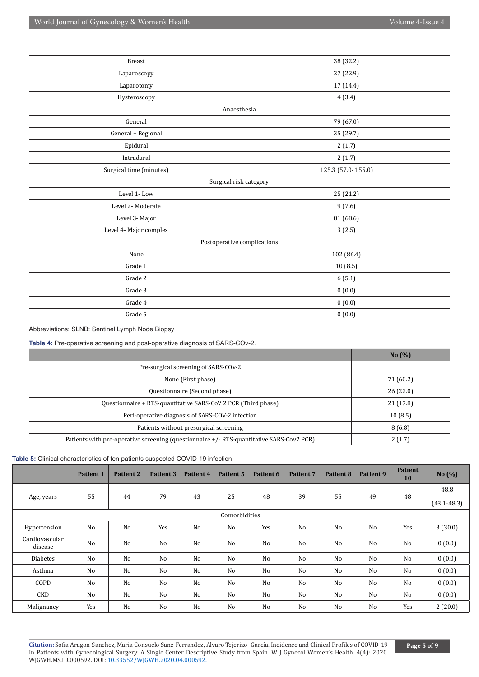| <b>Breast</b>               | 38 (32.2)          |  |  |  |  |
|-----------------------------|--------------------|--|--|--|--|
| Laparoscopy                 | 27 (22.9)          |  |  |  |  |
| Laparotomy                  | 17 (14.4)          |  |  |  |  |
| Hysteroscopy                | 4(3.4)             |  |  |  |  |
| Anaesthesia                 |                    |  |  |  |  |
| General                     | 79 (67.0)          |  |  |  |  |
| General + Regional          | 35 (29.7)          |  |  |  |  |
| Epidural                    | 2(1.7)             |  |  |  |  |
| Intradural                  | 2(1.7)             |  |  |  |  |
| Surgical time (minutes)     | 125.3 (57.0-155.0) |  |  |  |  |
| Surgical risk category      |                    |  |  |  |  |
| Level 1-Low                 | 25 (21.2)          |  |  |  |  |
| Level 2- Moderate           | 9(7.6)             |  |  |  |  |
| Level 3- Major              | 81 (68.6)          |  |  |  |  |
| Level 4- Major complex      | 3(2.5)             |  |  |  |  |
| Postoperative complications |                    |  |  |  |  |
| None                        | 102 (86.4)         |  |  |  |  |
| Grade 1                     | 10(8.5)            |  |  |  |  |
| Grade 2                     | 6(5.1)             |  |  |  |  |
| Grade 3                     | 0(0.0)             |  |  |  |  |
| Grade 4                     | 0(0.0)             |  |  |  |  |
| Grade 5                     | 0(0.0)             |  |  |  |  |

Abbreviations: SLNB: Sentinel Lymph Node Biopsy

**Table 4:** Pre-operative screening and post-operative diagnosis of SARS-COv-2.

|                                                                                          | No(%)     |
|------------------------------------------------------------------------------------------|-----------|
| Pre-surgical screening of SARS-COv-2                                                     |           |
| None (First phase)                                                                       | 71 (60.2) |
| Questionnaire (Second phase)                                                             | 26(22.0)  |
| Questionnaire + RTS-quantitative SARS-CoV 2 PCR (Third phase)                            | 21 (17.8) |
| Peri-operative diagnosis of SARS-COV-2 infection                                         | 10(8.5)   |
| Patients without presurgical screening                                                   | 8(6.8)    |
| Patients with pre-operative screening (questionnaire +/- RTS-quantitative SARS-Cov2 PCR) | 2(1.7)    |

**Table 5:** Clinical characteristics of ten patients suspected COVID-19 infection.

|                           | <b>Patient 1</b> | <b>Patient 2</b> | Patient 3 | Patient 4 | <b>Patient 5</b> | Patient 6      | <b>Patient 7</b> | Patient 8 | Patient 9      | <b>Patient</b><br><b>10</b> | No $(\% )$              |
|---------------------------|------------------|------------------|-----------|-----------|------------------|----------------|------------------|-----------|----------------|-----------------------------|-------------------------|
| Age, years                | 55               | 44               | 79        | 43        | 25               | 48             | 39               | 55        | 49             | 48                          | 48.8<br>$(43.1 - 48.3)$ |
|                           |                  |                  |           |           | Comorbidities    |                |                  |           |                |                             |                         |
| Hypertension              | N <sub>o</sub>   | No               | Yes       | No        | No               | Yes            | N <sub>o</sub>   | No        | N <sub>0</sub> | Yes                         | 3(30.0)                 |
| Cardiovascular<br>disease | No               | No               | No        | No        | No               | N <sub>o</sub> | No               | No        | N <sub>0</sub> | No                          | 0(0.0)                  |
| <b>Diabetes</b>           | No               | No               | No        | No        | No               | N <sub>o</sub> | N <sub>o</sub>   | No        | No             | No                          | 0(0.0)                  |
| Asthma                    | No               | No               | No        | No        | No               | N <sub>o</sub> | N <sub>o</sub>   | No        | No             | No                          | 0(0.0)                  |
| COPD                      | No               | No               | No        | No        | No               | No             | No               | No        | No             | No                          | 0(0.0)                  |
| CKD                       | No               | No               | No        | No        | No               | No             | N <sub>0</sub>   | No        | N <sub>0</sub> | No                          | 0(0.0)                  |
| Malignancy                | Yes              | No               | No        | No        | No               | No             | No               | No        | No             | Yes                         | 2(20.0)                 |

**Citation:** Sofia Aragon-Sanchez, Maria Consuelo Sanz-Ferrandez, Alvaro Tejerizo- García. Incidence and Clinical Profiles of COVID-19 In Patients with Gynecological Surgery. A Single Center Descriptive Study from Spain. W J Gynecol Women's Health. 4(4): 2020. WJGWH.MS.ID.000592. DOI: [10.33552/WJGWH.2020.04.000592](http://dx.doi.org/10.33552/WJGWH.2020.04.000592).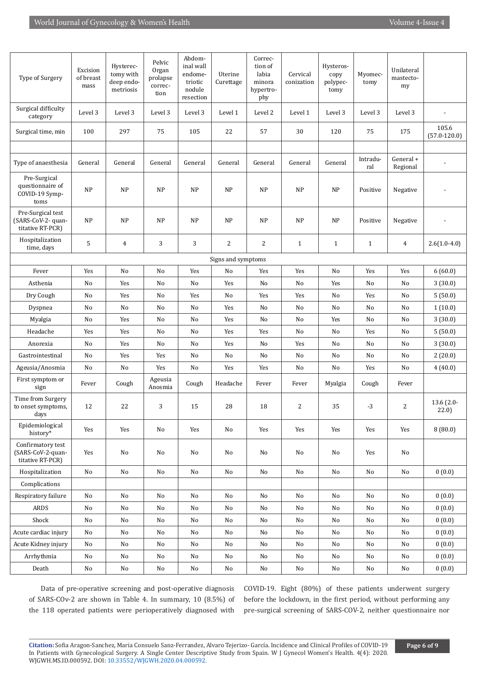| Type of Surgery                                             | Excision<br>of breast<br>mass | Hysterec-<br>tomy with<br>deep endo-<br>metriosis | Pelvic<br>Organ<br>prolapse<br>correc-<br>tion | Abdom-<br>inal wall<br>endome-<br>triotic<br>nodule<br>resection | Uterine<br>Curettage | Correc-<br>tion of<br>labia<br>minora<br>hypertro-<br>phy | Cervical<br>conization | Hysteros-<br>copy<br>polypec-<br>tomy | Myomec-<br>tomy | Unilateral<br>mastecto-<br>my |                           |
|-------------------------------------------------------------|-------------------------------|---------------------------------------------------|------------------------------------------------|------------------------------------------------------------------|----------------------|-----------------------------------------------------------|------------------------|---------------------------------------|-----------------|-------------------------------|---------------------------|
| Surgical difficulty<br>category                             | Level 3                       | Level 3                                           | Level 3                                        | Level 3                                                          | Level 1              | Level 2                                                   | Level 1                | Level 3                               | Level 3         | Level 3                       |                           |
| Surgical time, min                                          | 100                           | 297                                               | 75                                             | 105                                                              | 22                   | 57                                                        | 30                     | 120                                   | 75              | 175                           | 105.6<br>$(57.0 - 120.0)$ |
|                                                             |                               |                                                   |                                                |                                                                  |                      |                                                           |                        |                                       |                 |                               |                           |
| Type of anaesthesia                                         | General                       | General                                           | General                                        | General                                                          | General              | General                                                   | General                | General                               | Intradu-<br>ral | General +<br>Regional         |                           |
| Pre-Surgical<br>questionnaire of<br>COVID-19 Symp-<br>toms  | <b>NP</b>                     | NP                                                | <b>NP</b>                                      | NP                                                               | <b>NP</b>            | <b>NP</b>                                                 | NP                     | NP                                    | Positive        | Negative                      |                           |
| Pre-Surgical test<br>(SARS-CoV-2- quan-<br>titative RT-PCR) | <b>NP</b>                     | NP                                                | <b>NP</b>                                      | NP                                                               | <b>NP</b>            | NP                                                        | <b>NP</b>              | <b>NP</b>                             | Positive        | Negative                      |                           |
| Hospitalization<br>time, days                               | 5                             | $\overline{4}$                                    | 3                                              | 3                                                                | 2                    | 2                                                         | $\mathbf{1}$           | $\mathbf{1}$                          | $\mathbf{1}$    | $\overline{4}$                | $2.6(1.0-4.0)$            |
|                                                             |                               |                                                   |                                                |                                                                  | Signs and symptoms   |                                                           |                        |                                       |                 |                               |                           |
| Fever                                                       | Yes                           | No                                                | No                                             | Yes                                                              | No                   | Yes                                                       | Yes                    | No                                    | Yes             | Yes                           | 6(60.0)                   |
| Asthenia                                                    | No                            | Yes                                               | No                                             | No                                                               | Yes                  | No                                                        | No                     | Yes                                   | No              | No                            | 3(30.0)                   |
| Dry Cough                                                   | No                            | Yes                                               | No                                             | Yes                                                              | No                   | Yes                                                       | Yes                    | No                                    | Yes             | No                            | 5(50.0)                   |
| Dyspnea                                                     | No                            | No                                                | No                                             | No                                                               | Yes                  | No                                                        | No                     | No                                    | No              | No                            | 1(10.0)                   |
| Myalgia                                                     | No                            | Yes                                               | No                                             | No                                                               | Yes                  | No                                                        | No                     | Yes                                   | No              | No                            | 3(30.0)                   |
| Headache                                                    | Yes                           | Yes                                               | No                                             | No                                                               | Yes                  | Yes                                                       | No                     | No                                    | Yes             | No                            | 5(50.0)                   |
| Anorexia                                                    | No                            | Yes                                               | No                                             | No                                                               | Yes                  | No                                                        | Yes                    | No                                    | No              | No                            | 3(30.0)                   |
| Gastrointestinal                                            | No                            | Yes                                               | Yes                                            | No                                                               | No                   | No                                                        | No                     | No                                    | No              | No                            | 2(20.0)                   |
| Ageusia/Anosmia                                             | No                            | No                                                | Yes                                            | No                                                               | Yes                  | Yes                                                       | No                     | No                                    | Yes             | No                            | 4(40.0)                   |
| First symptom or<br>sign                                    | Fever                         | Cough                                             | Ageusia<br>Anosmia                             | Cough                                                            | Headache             | Fever                                                     | Fever                  | Myalgia                               | Cough           | Fever                         |                           |
| Time from Surgery<br>to onset symptoms,<br>days             | 12                            | 22                                                | 3                                              | 15                                                               | 28                   | 18                                                        | 2                      | 35                                    | $-3$            | 2                             | 13.6 (2.0-<br>22.0)       |
| Epidemiological<br>history*                                 | Yes                           | Yes                                               | No                                             | Yes                                                              | No                   | Yes                                                       | Yes                    | Yes                                   | Yes             | Yes                           | 8(80.0)                   |
| Confirmatory test<br>(SARS-CoV-2-quan-<br>titative RT-PCR)  | Yes                           | No                                                | No                                             | No                                                               | No                   | No                                                        | No                     | No                                    | Yes             | No                            |                           |
| Hospitalization                                             | No                            | No                                                | No                                             | No                                                               | No                   | No                                                        | No                     | No                                    | No              | No                            | 0(0.0)                    |
| Complications                                               |                               |                                                   |                                                |                                                                  |                      |                                                           |                        |                                       |                 |                               |                           |
| Respiratory failure                                         | No                            | No                                                | No                                             | No                                                               | No                   | No                                                        | No                     | No                                    | No              | No                            | 0(0.0)                    |
| <b>ARDS</b>                                                 | No                            | No                                                | No                                             | No                                                               | No                   | No                                                        | No                     | No                                    | No              | No                            | 0(0.0)                    |
| Shock                                                       | No                            | No                                                | No                                             | No                                                               | No                   | No                                                        | No                     | No                                    | No              | No                            | 0(0.0)                    |
| Acute cardiac injury                                        | No                            | No                                                | No                                             | No                                                               | No                   | No                                                        | No                     | No                                    | No              | No                            | 0(0.0)                    |
| Acute Kidney injury                                         | No                            | No                                                | No                                             | No                                                               | No                   | No                                                        | No                     | No                                    | No              | No                            | 0(0.0)                    |
| Arrhythmia                                                  | No                            | No                                                | No                                             | No                                                               | No                   | No                                                        | No                     | No                                    | No              | No                            | 0(0.0)                    |
| Death                                                       | No                            | No                                                | No                                             | No                                                               | No                   | No                                                        | No                     | No                                    | $\rm No$        | $\rm No$                      | 0(0.0)                    |

Data of pre-operative screening and post-operative diagnosis of SARS-COv-2 are shown in Table 4. In summary, 10 (8.5%) of the 118 operated patients were perioperatively diagnosed with

COVID-19. Eight (80%) of these patients underwent surgery before the lockdown, in the first period, without performing any pre-surgical screening of SARS-COV-2, neither questionnaire nor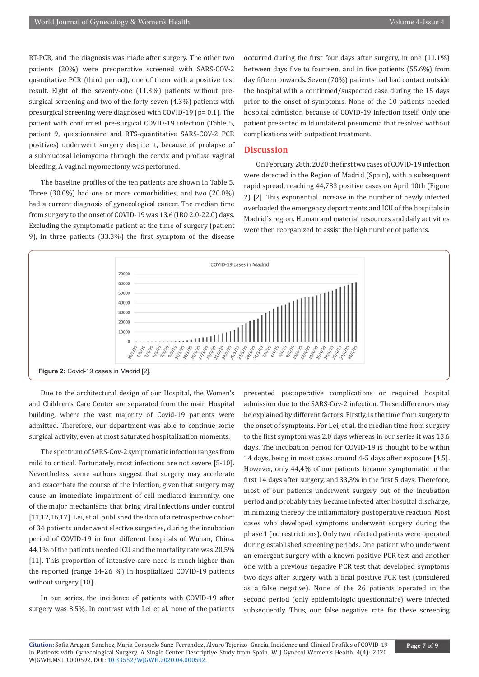RT-PCR, and the diagnosis was made after surgery. The other two patients (20%) were preoperative screened with SARS-COV-2 quantitative PCR (third period), one of them with a positive test result. Eight of the seventy-one (11.3%) patients without presurgical screening and two of the forty-seven (4.3%) patients with presurgical screening were diagnosed with COVID-19 (p= 0.1). The patient with confirmed pre-surgical COVID-19 infection (Table 5, patient 9, questionnaire and RTS-quantitative SARS-COV-2 PCR positives) underwent surgery despite it, because of prolapse of a submucosal leiomyoma through the cervix and profuse vaginal bleeding. A vaginal myomectomy was performed.

The baseline profiles of the ten patients are shown in Table 5. Three (30.0%) had one or more comorbidities, and two (20.0%) had a current diagnosis of gynecological cancer. The median time from surgery to the onset of COVID-19 was 13.6 (IRQ 2.0-22.0) days. Excluding the symptomatic patient at the time of surgery (patient 9), in three patients (33.3%) the first symptom of the disease

occurred during the first four days after surgery, in one (11.1%) between days five to fourteen, and in five patients (55.6%) from day fifteen onwards. Seven (70%) patients had had contact outside the hospital with a confirmed/suspected case during the 15 days prior to the onset of symptoms. None of the 10 patients needed hospital admission because of COVID-19 infection itself. Only one patient presented mild unilateral pneumonia that resolved without complications with outpatient treatment.

#### **Discussion**

On February 28th, 2020 the first two cases of COVID-19 infection were detected in the Region of Madrid (Spain), with a subsequent rapid spread, reaching 44,783 positive cases on April 10th (Figure 2) [2]. This exponential increase in the number of newly infected overloaded the emergency departments and ICU of the hospitals in Madrid´s region. Human and material resources and daily activities were then reorganized to assist the high number of patients.



Due to the architectural design of our Hospital, the Women's and Children's Care Center are separated from the main Hospital building, where the vast majority of Covid-19 patients were admitted. Therefore, our department was able to continue some surgical activity, even at most saturated hospitalization moments.

The spectrum of SARS-Cov-2 symptomatic infection ranges from mild to critical. Fortunately, most infections are not severe [5-10]. Nevertheless, some authors suggest that surgery may accelerate and exacerbate the course of the infection, given that surgery may cause an immediate impairment of cell-mediated immunity, one of the major mechanisms that bring viral infections under control [11,12,16,17]. Lei, et al. published the data of a retrospective cohort of 34 patients underwent elective surgeries, during the incubation period of COVID-19 in four different hospitals of Wuhan, China. 44,1% of the patients needed ICU and the mortality rate was 20,5% [11]. This proportion of intensive care need is much higher than the reported (range 14-26 %) in hospitalized COVID-19 patients without surgery [18].

In our series, the incidence of patients with COVID-19 after surgery was 8.5%. In contrast with Lei et al. none of the patients

presented postoperative complications or required hospital admission due to the SARS-Cov-2 infection. These differences may be explained by different factors. Firstly, is the time from surgery to the onset of symptoms. For Lei, et al. the median time from surgery to the first symptom was 2.0 days whereas in our series it was 13.6 days. The incubation period for COVID-19 is thought to be within 14 days, being in most cases around 4-5 days after exposure [4,5]. However, only 44,4% of our patients became symptomatic in the first 14 days after surgery, and 33,3% in the first 5 days. Therefore, most of our patients underwent surgery out of the incubation period and probably they became infected after hospital discharge, minimizing thereby the inflammatory postoperative reaction. Most cases who developed symptoms underwent surgery during the phase 1 (no restrictions). Only two infected patients were operated during established screening periods. One patient who underwent an emergent surgery with a known positive PCR test and another one with a previous negative PCR test that developed symptoms two days after surgery with a final positive PCR test (considered as a false negative). None of the 26 patients operated in the second period (only epidemiologic questionnaire) were infected subsequently. Thus, our false negative rate for these screening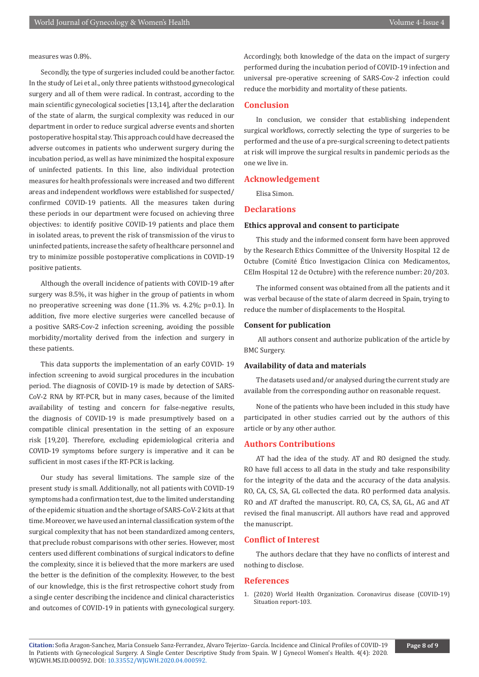measures was 0.8%.

Secondly, the type of surgeries included could be another factor. In the study of Lei et al., only three patients withstood gynecological surgery and all of them were radical. In contrast, according to the main scientific gynecological societies [13,14], after the declaration of the state of alarm, the surgical complexity was reduced in our department in order to reduce surgical adverse events and shorten postoperative hospital stay. This approach could have decreased the adverse outcomes in patients who underwent surgery during the incubation period, as well as have minimized the hospital exposure of uninfected patients. In this line, also individual protection measures for health professionals were increased and two different areas and independent workflows were established for suspected/ confirmed COVID-19 patients. All the measures taken during these periods in our department were focused on achieving three objectives: to identify positive COVID-19 patients and place them in isolated areas, to prevent the risk of transmission of the virus to uninfected patients, increase the safety of healthcare personnel and try to minimize possible postoperative complications in COVID-19 positive patients.

Although the overall incidence of patients with COVID-19 after surgery was 8.5%, it was higher in the group of patients in whom no preoperative screening was done (11.3% vs. 4.2%; p=0.1). In addition, five more elective surgeries were cancelled because of a positive SARS-Cov-2 infection screening, avoiding the possible morbidity/mortality derived from the infection and surgery in these patients.

This data supports the implementation of an early COVID- 19 infection screening to avoid surgical procedures in the incubation period. The diagnosis of COVID-19 is made by detection of SARS-CoV-2 RNA by RT-PCR, but in many cases, because of the limited availability of testing and concern for false-negative results, the diagnosis of COVID-19 is made presumptively based on a compatible clinical presentation in the setting of an exposure risk [19,20]. Therefore, excluding epidemiological criteria and COVID-19 symptoms before surgery is imperative and it can be sufficient in most cases if the RT-PCR is lacking.

Our study has several limitations. The sample size of the present study is small. Additionally, not all patients with COVID-19 symptoms had a confirmation test, due to the limited understanding of the epidemic situation and the shortage of SARS-CoV-2 kits at that time. Moreover, we have used an internal classification system of the surgical complexity that has not been standardized among centers, that preclude robust comparisons with other series. However, most centers used different combinations of surgical indicators to define the complexity, since it is believed that the more markers are used the better is the definition of the complexity. However, to the best of our knowledge, this is the first retrospective cohort study from a single center describing the incidence and clinical characteristics and outcomes of COVID-19 in patients with gynecological surgery.

Accordingly, both knowledge of the data on the impact of surgery performed during the incubation period of COVID-19 infection and universal pre-operative screening of SARS-Cov-2 infection could reduce the morbidity and mortality of these patients.

## **Conclusion**

In conclusion, we consider that establishing independent surgical workflows, correctly selecting the type of surgeries to be performed and the use of a pre-surgical screening to detect patients at risk will improve the surgical results in pandemic periods as the one we live in.

# **Acknowledgement**

Elisa Simon.

# **Declarations**

#### **Ethics approval and consent to participate**

This study and the informed consent form have been approved by the Research Ethics Committee of the University Hospital 12 de Octubre (Comité Ético Investigacion Clínica con Medicamentos, CEIm Hospital 12 de Octubre) with the reference number: 20/203.

The informed consent was obtained from all the patients and it was verbal because of the state of alarm decreed in Spain, trying to reduce the number of displacements to the Hospital.

### **Consent for publication**

 All authors consent and authorize publication of the article by BMC Surgery.

# **Availability of data and materials**

The datasets used and/or analysed during the current study are available from the corresponding author on reasonable request.

None of the patients who have been included in this study have participated in other studies carried out by the authors of this article or by any other author.

# **Authors Contributions**

AT had the idea of the study. AT and RO designed the study. RO have full access to all data in the study and take responsibility for the integrity of the data and the accuracy of the data analysis. RO, CA, CS, SA, GL collected the data. RO performed data analysis. RO and AT drafted the manuscript. RO, CA, CS, SA, GL, AG and AT revised the final manuscript. All authors have read and approved the manuscript.

# **Conflict of Interest**

The authors declare that they have no conflicts of interest and nothing to disclose.

#### **References**

1. (2020) World Health Organization. Coronavirus disease (COVID-19) Situation report-103.